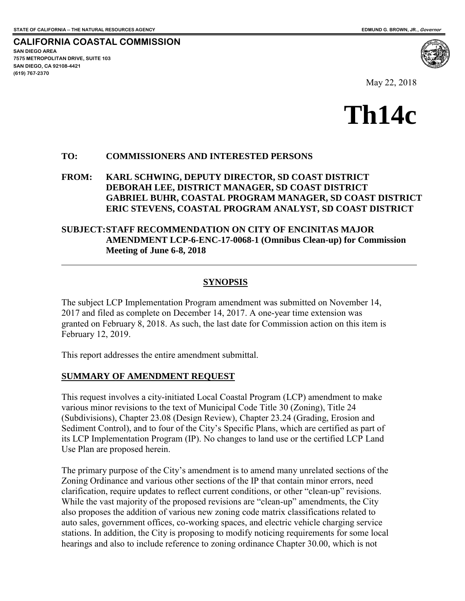**SAN DIEGO AREA** 

**(619) 767-2370**

**SAN DIEGO, CA 92108-4421**

**7575 METROPOLITAN DRIVE, SUITE 103** 

 $\overline{a}$ 

**CALIFORNIA COASTAL COMMISSION** 

May 22, 2018

# **Th14c**

#### **TO: COMMISSIONERS AND INTERESTED PERSONS**

#### **FROM: KARL SCHWING, DEPUTY DIRECTOR, SD COAST DISTRICT DEBORAH LEE, DISTRICT MANAGER, SD COAST DISTRICT GABRIEL BUHR, COASTAL PROGRAM MANAGER, SD COAST DISTRICT ERIC STEVENS, COASTAL PROGRAM ANALYST, SD COAST DISTRICT**

#### **SUBJECT: STAFF RECOMMENDATION ON CITY OF ENCINITAS MAJOR AMENDMENT LCP-6-ENC-17-0068-1 (Omnibus Clean-up) for Commission Meeting of June 6-8, 2018**

#### **SYNOPSIS**

The subject LCP Implementation Program amendment was submitted on November 14, 2017 and filed as complete on December 14, 2017. A one-year time extension was granted on February 8, 2018. As such, the last date for Commission action on this item is February 12, 2019.

This report addresses the entire amendment submittal.

#### **SUMMARY OF AMENDMENT REQUEST**

This request involves a city-initiated Local Coastal Program (LCP) amendment to make various minor revisions to the text of Municipal Code Title 30 (Zoning), Title 24 (Subdivisions), Chapter 23.08 (Design Review), Chapter 23.24 (Grading, Erosion and Sediment Control), and to four of the City's Specific Plans, which are certified as part of its LCP Implementation Program (IP). No changes to land use or the certified LCP Land Use Plan are proposed herein.

The primary purpose of the City's amendment is to amend many unrelated sections of the Zoning Ordinance and various other sections of the IP that contain minor errors, need clarification, require updates to reflect current conditions, or other "clean-up" revisions. While the vast majority of the proposed revisions are "clean-up" amendments, the City also proposes the addition of various new zoning code matrix classifications related to auto sales, government offices, co-working spaces, and electric vehicle charging service stations. In addition, the City is proposing to modify noticing requirements for some local hearings and also to include reference to zoning ordinance Chapter 30.00, which is not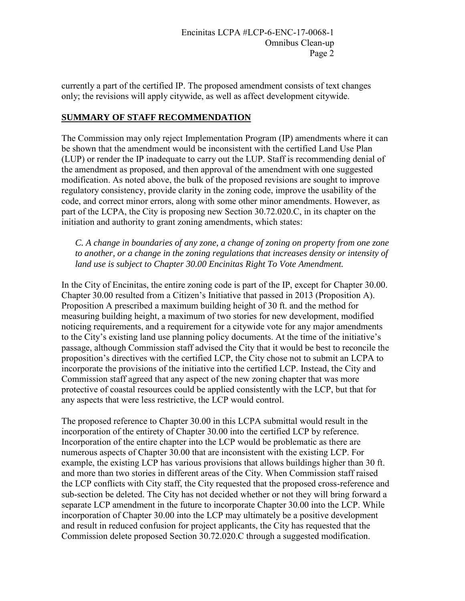currently a part of the certified IP. The proposed amendment consists of text changes only; the revisions will apply citywide, as well as affect development citywide.

#### **SUMMARY OF STAFF RECOMMENDATION**

The Commission may only reject Implementation Program (IP) amendments where it can be shown that the amendment would be inconsistent with the certified Land Use Plan (LUP) or render the IP inadequate to carry out the LUP. Staff is recommending denial of the amendment as proposed, and then approval of the amendment with one suggested modification. As noted above, the bulk of the proposed revisions are sought to improve regulatory consistency, provide clarity in the zoning code, improve the usability of the code, and correct minor errors, along with some other minor amendments. However, as part of the LCPA, the City is proposing new Section 30.72.020.C, in its chapter on the initiation and authority to grant zoning amendments, which states:

*C. A change in boundaries of any zone, a change of zoning on property from one zone to another, or a change in the zoning regulations that increases density or intensity of land use is subject to Chapter 30.00 Encinitas Right To Vote Amendment.* 

In the City of Encinitas, the entire zoning code is part of the IP, except for Chapter 30.00. Chapter 30.00 resulted from a Citizen's Initiative that passed in 2013 (Proposition A). Proposition A prescribed a maximum building height of 30 ft. and the method for measuring building height, a maximum of two stories for new development, modified noticing requirements, and a requirement for a citywide vote for any major amendments to the City's existing land use planning policy documents. At the time of the initiative's passage, although Commission staff advised the City that it would be best to reconcile the proposition's directives with the certified LCP, the City chose not to submit an LCPA to incorporate the provisions of the initiative into the certified LCP. Instead, the City and Commission staff agreed that any aspect of the new zoning chapter that was more protective of coastal resources could be applied consistently with the LCP, but that for any aspects that were less restrictive, the LCP would control.

The proposed reference to Chapter 30.00 in this LCPA submittal would result in the incorporation of the entirety of Chapter 30.00 into the certified LCP by reference. Incorporation of the entire chapter into the LCP would be problematic as there are numerous aspects of Chapter 30.00 that are inconsistent with the existing LCP. For example, the existing LCP has various provisions that allows buildings higher than 30 ft. and more than two stories in different areas of the City. When Commission staff raised the LCP conflicts with City staff, the City requested that the proposed cross-reference and sub-section be deleted. The City has not decided whether or not they will bring forward a separate LCP amendment in the future to incorporate Chapter 30.00 into the LCP. While incorporation of Chapter 30.00 into the LCP may ultimately be a positive development and result in reduced confusion for project applicants, the City has requested that the Commission delete proposed Section 30.72.020.C through a suggested modification.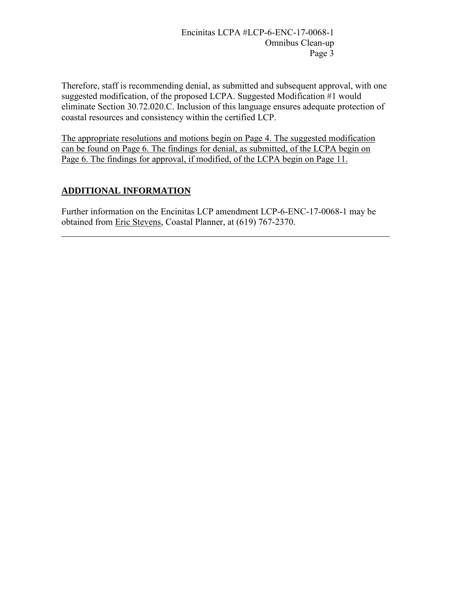Therefore, staff is recommending denial, as submitted and subsequent approval, with one suggested modification, of the proposed LCPA. Suggested Modification #1 would eliminate Section 30.72.020.C. Inclusion of this language ensures adequate protection of coastal resources and consistency within the certified LCP.

The appropriate resolutions and motions begin on Page 4. The suggested modification can be found on Page 6. The findings for denial, as submitted, of the LCPA begin on Page 6. The findings for approval, if modified, of the LCPA begin on Page 11.

# **ADDITIONAL INFORMATION**

 $\overline{a}$ 

Further information on the Encinitas LCP amendment LCP-6-ENC-17-0068-1 may be obtained from Eric Stevens, Coastal Planner, at (619) 767-2370.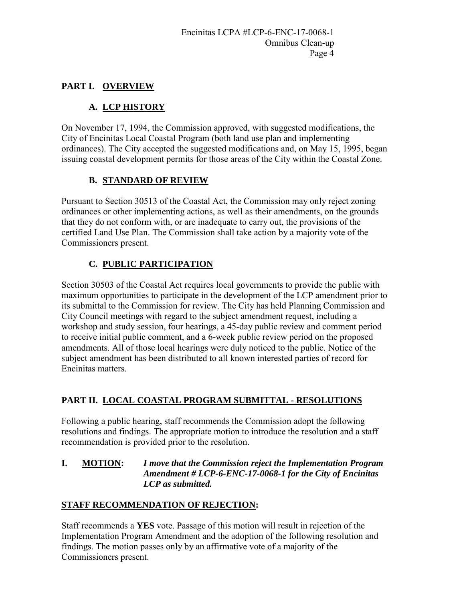# **PART I. OVERVIEW**

# **A. LCP HISTORY**

On November 17, 1994, the Commission approved, with suggested modifications, the City of Encinitas Local Coastal Program (both land use plan and implementing ordinances). The City accepted the suggested modifications and, on May 15, 1995, began issuing coastal development permits for those areas of the City within the Coastal Zone.

# **B. STANDARD OF REVIEW**

Pursuant to Section 30513 of the Coastal Act, the Commission may only reject zoning ordinances or other implementing actions, as well as their amendments, on the grounds that they do not conform with, or are inadequate to carry out, the provisions of the certified Land Use Plan. The Commission shall take action by a majority vote of the Commissioners present.

# **C. PUBLIC PARTICIPATION**

Section 30503 of the Coastal Act requires local governments to provide the public with maximum opportunities to participate in the development of the LCP amendment prior to its submittal to the Commission for review. The City has held Planning Commission and City Council meetings with regard to the subject amendment request, including a workshop and study session, four hearings, a 45-day public review and comment period to receive initial public comment, and a 6-week public review period on the proposed amendments. All of those local hearings were duly noticed to the public. Notice of the subject amendment has been distributed to all known interested parties of record for Encinitas matters.

# **PART II. LOCAL COASTAL PROGRAM SUBMITTAL - RESOLUTIONS**

Following a public hearing, staff recommends the Commission adopt the following resolutions and findings. The appropriate motion to introduce the resolution and a staff recommendation is provided prior to the resolution.

#### **I. MOTION:** *I move that the Commission reject the Implementation Program Amendment # LCP-6-ENC-17-0068-1 for the City of Encinitas LCP as submitted.*

# **STAFF RECOMMENDATION OF REJECTION:**

Staff recommends a **YES** vote. Passage of this motion will result in rejection of the Implementation Program Amendment and the adoption of the following resolution and findings. The motion passes only by an affirmative vote of a majority of the Commissioners present.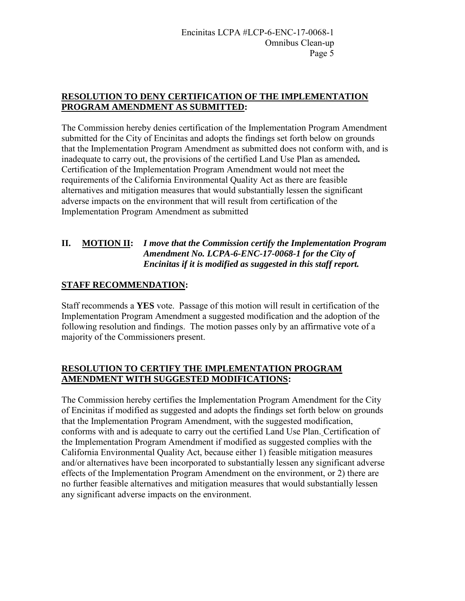# **RESOLUTION TO DENY CERTIFICATION OF THE IMPLEMENTATION PROGRAM AMENDMENT AS SUBMITTED:**

The Commission hereby denies certification of the Implementation Program Amendment submitted for the City of Encinitas and adopts the findings set forth below on grounds that the Implementation Program Amendment as submitted does not conform with, and is inadequate to carry out, the provisions of the certified Land Use Plan as amended*.* Certification of the Implementation Program Amendment would not meet the requirements of the California Environmental Quality Act as there are feasible alternatives and mitigation measures that would substantially lessen the significant adverse impacts on the environment that will result from certification of the Implementation Program Amendment as submitted

# **II. MOTION II:** *I move that the Commission certify the Implementation Program Amendment No. LCPA-6-ENC-17-0068-1 for the City of Encinitas if it is modified as suggested in this staff report.*

# **STAFF RECOMMENDATION:**

Staff recommends a **YES** vote. Passage of this motion will result in certification of the Implementation Program Amendment a suggested modification and the adoption of the following resolution and findings. The motion passes only by an affirmative vote of a majority of the Commissioners present.

# **RESOLUTION TO CERTIFY THE IMPLEMENTATION PROGRAM AMENDMENT WITH SUGGESTED MODIFICATIONS:**

The Commission hereby certifies the Implementation Program Amendment for the City of Encinitas if modified as suggested and adopts the findings set forth below on grounds that the Implementation Program Amendment, with the suggested modification, conforms with and is adequate to carry out the certified Land Use Plan. Certification of the Implementation Program Amendment if modified as suggested complies with the California Environmental Quality Act, because either 1) feasible mitigation measures and/or alternatives have been incorporated to substantially lessen any significant adverse effects of the Implementation Program Amendment on the environment, or 2) there are no further feasible alternatives and mitigation measures that would substantially lessen any significant adverse impacts on the environment.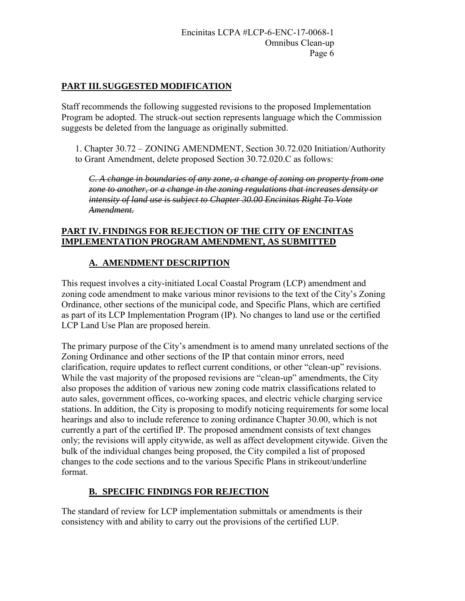# **PART III. SUGGESTED MODIFICATION**

Staff recommends the following suggested revisions to the proposed Implementation Program be adopted. The struck-out section represents language which the Commission suggests be deleted from the language as originally submitted.

1. Chapter 30.72 – ZONING AMENDMENT, Section 30.72.020 Initiation/Authority to Grant Amendment, delete proposed Section 30.72.020.C as follows:

*C. A change in boundaries of any zone, a change of zoning on property from one zone to another, or a change in the zoning regulations that increases density or intensity of land use is subject to Chapter 30.00 Encinitas Right To Vote Amendment.* 

#### **PART IV. FINDINGS FOR REJECTION OF THE CITY OF ENCINITAS IMPLEMENTATION PROGRAM AMENDMENT, AS SUBMITTED**

# **A. AMENDMENT DESCRIPTION**

This request involves a city-initiated Local Coastal Program (LCP) amendment and zoning code amendment to make various minor revisions to the text of the City's Zoning Ordinance, other sections of the municipal code, and Specific Plans, which are certified as part of its LCP Implementation Program (IP). No changes to land use or the certified LCP Land Use Plan are proposed herein.

The primary purpose of the City's amendment is to amend many unrelated sections of the Zoning Ordinance and other sections of the IP that contain minor errors, need clarification, require updates to reflect current conditions, or other "clean-up" revisions. While the vast majority of the proposed revisions are "clean-up" amendments, the City also proposes the addition of various new zoning code matrix classifications related to auto sales, government offices, co-working spaces, and electric vehicle charging service stations. In addition, the City is proposing to modify noticing requirements for some local hearings and also to include reference to zoning ordinance Chapter 30.00, which is not currently a part of the certified IP. The proposed amendment consists of text changes only; the revisions will apply citywide, as well as affect development citywide. Given the bulk of the individual changes being proposed, the City compiled a list of proposed changes to the code sections and to the various Specific Plans in strikeout/underline format.

#### **B. SPECIFIC FINDINGS FOR REJECTION**

The standard of review for LCP implementation submittals or amendments is their consistency with and ability to carry out the provisions of the certified LUP.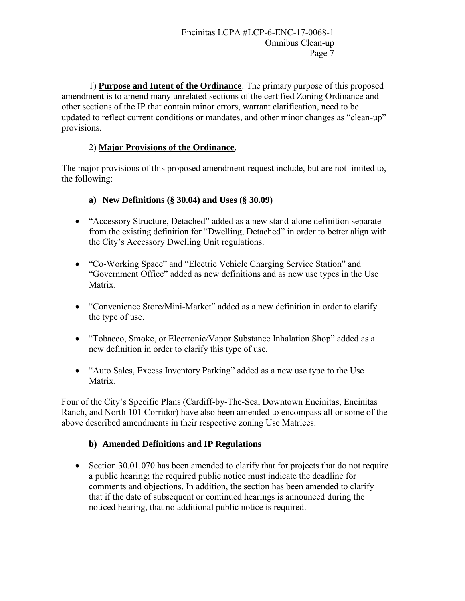1) **Purpose and Intent of the Ordinance**. The primary purpose of this proposed amendment is to amend many unrelated sections of the certified Zoning Ordinance and other sections of the IP that contain minor errors, warrant clarification, need to be updated to reflect current conditions or mandates, and other minor changes as "clean-up" provisions.

# 2) **Major Provisions of the Ordinance**.

The major provisions of this proposed amendment request include, but are not limited to, the following:

#### **a) New Definitions (§ 30.04) and Uses (§ 30.09)**

- "Accessory Structure, Detached" added as a new stand-alone definition separate from the existing definition for "Dwelling, Detached" in order to better align with the City's Accessory Dwelling Unit regulations.
- "Co-Working Space" and "Electric Vehicle Charging Service Station" and "Government Office" added as new definitions and as new use types in the Use Matrix.
- "Convenience Store/Mini-Market" added as a new definition in order to clarify the type of use.
- "Tobacco, Smoke, or Electronic/Vapor Substance Inhalation Shop" added as a new definition in order to clarify this type of use.
- "Auto Sales, Excess Inventory Parking" added as a new use type to the Use Matrix.

Four of the City's Specific Plans (Cardiff-by-The-Sea, Downtown Encinitas, Encinitas Ranch, and North 101 Corridor) have also been amended to encompass all or some of the above described amendments in their respective zoning Use Matrices.

#### **b) Amended Definitions and IP Regulations**

• Section 30.01.070 has been amended to clarify that for projects that do not require a public hearing; the required public notice must indicate the deadline for comments and objections. In addition, the section has been amended to clarify that if the date of subsequent or continued hearings is announced during the noticed hearing, that no additional public notice is required.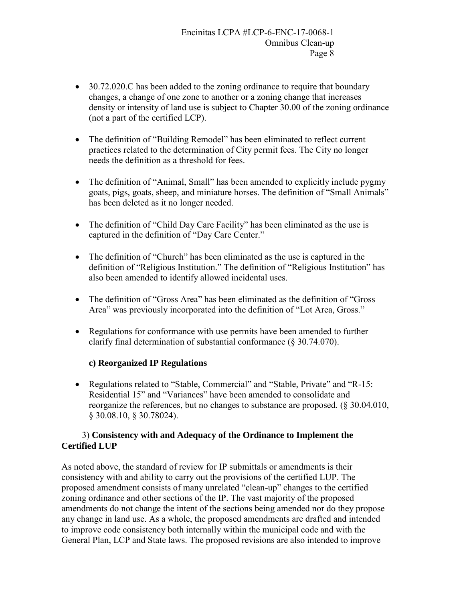- 30.72.020.C has been added to the zoning ordinance to require that boundary changes, a change of one zone to another or a zoning change that increases density or intensity of land use is subject to Chapter 30.00 of the zoning ordinance (not a part of the certified LCP).
- The definition of "Building Remodel" has been eliminated to reflect current practices related to the determination of City permit fees. The City no longer needs the definition as a threshold for fees.
- The definition of "Animal, Small" has been amended to explicitly include pygmy goats, pigs, goats, sheep, and miniature horses. The definition of "Small Animals" has been deleted as it no longer needed.
- The definition of "Child Day Care Facility" has been eliminated as the use is captured in the definition of "Day Care Center."
- The definition of "Church" has been eliminated as the use is captured in the definition of "Religious Institution." The definition of "Religious Institution" has also been amended to identify allowed incidental uses.
- The definition of "Gross Area" has been eliminated as the definition of "Gross" Area" was previously incorporated into the definition of "Lot Area, Gross."
- Regulations for conformance with use permits have been amended to further clarify final determination of substantial conformance (§ 30.74.070).

#### **c) Reorganized IP Regulations**

 Regulations related to "Stable, Commercial" and "Stable, Private" and "R-15: Residential 15" and "Variances" have been amended to consolidate and reorganize the references, but no changes to substance are proposed. (§ 30.04.010, § 30.08.10, § 30.78024).

#### 3) **Consistency with and Adequacy of the Ordinance to Implement the Certified LUP**

As noted above, the standard of review for IP submittals or amendments is their consistency with and ability to carry out the provisions of the certified LUP. The proposed amendment consists of many unrelated "clean-up" changes to the certified zoning ordinance and other sections of the IP. The vast majority of the proposed amendments do not change the intent of the sections being amended nor do they propose any change in land use. As a whole, the proposed amendments are drafted and intended to improve code consistency both internally within the municipal code and with the General Plan, LCP and State laws. The proposed revisions are also intended to improve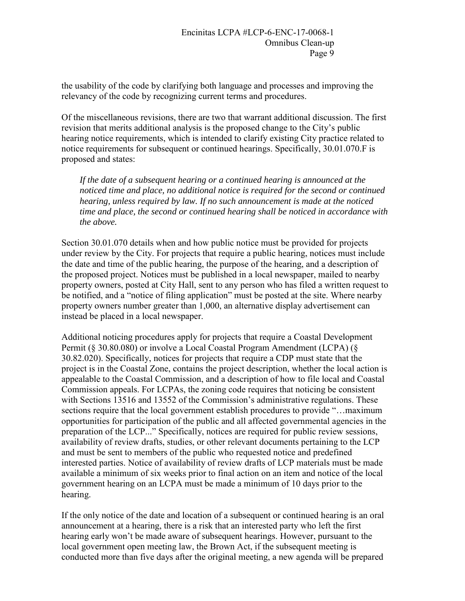the usability of the code by clarifying both language and processes and improving the relevancy of the code by recognizing current terms and procedures.

Of the miscellaneous revisions, there are two that warrant additional discussion. The first revision that merits additional analysis is the proposed change to the City's public hearing notice requirements, which is intended to clarify existing City practice related to notice requirements for subsequent or continued hearings. Specifically, 30.01.070.F is proposed and states:

*If the date of a subsequent hearing or a continued hearing is announced at the noticed time and place, no additional notice is required for the second or continued hearing, unless required by law. If no such announcement is made at the noticed time and place, the second or continued hearing shall be noticed in accordance with the above.* 

Section 30.01.070 details when and how public notice must be provided for projects under review by the City. For projects that require a public hearing, notices must include the date and time of the public hearing, the purpose of the hearing, and a description of the proposed project. Notices must be published in a local newspaper, mailed to nearby property owners, posted at City Hall, sent to any person who has filed a written request to be notified, and a "notice of filing application" must be posted at the site. Where nearby property owners number greater than 1,000, an alternative display advertisement can instead be placed in a local newspaper.

Additional noticing procedures apply for projects that require a Coastal Development Permit (§ 30.80.080) or involve a Local Coastal Program Amendment (LCPA) (§ 30.82.020). Specifically, notices for projects that require a CDP must state that the project is in the Coastal Zone, contains the project description, whether the local action is appealable to the Coastal Commission, and a description of how to file local and Coastal Commission appeals. For LCPAs, the zoning code requires that noticing be consistent with Sections 13516 and 13552 of the Commission's administrative regulations. These sections require that the local government establish procedures to provide "…maximum opportunities for participation of the public and all affected governmental agencies in the preparation of the LCP..." Specifically, notices are required for public review sessions, availability of review drafts, studies, or other relevant documents pertaining to the LCP and must be sent to members of the public who requested notice and predefined interested parties. Notice of availability of review drafts of LCP materials must be made available a minimum of six weeks prior to final action on an item and notice of the local government hearing on an LCPA must be made a minimum of 10 days prior to the hearing.

If the only notice of the date and location of a subsequent or continued hearing is an oral announcement at a hearing, there is a risk that an interested party who left the first hearing early won't be made aware of subsequent hearings. However, pursuant to the local government open meeting law, the Brown Act, if the subsequent meeting is conducted more than five days after the original meeting, a new agenda will be prepared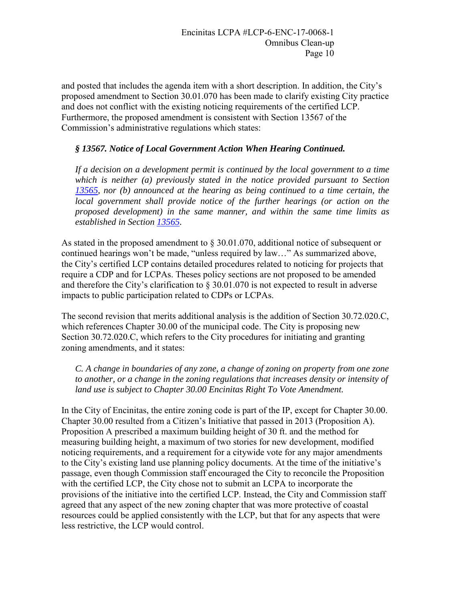and posted that includes the agenda item with a short description. In addition, the City's proposed amendment to Section 30.01.070 has been made to clarify existing City practice and does not conflict with the existing noticing requirements of the certified LCP. Furthermore, the proposed amendment is consistent with Section 13567 of the Commission's administrative regulations which states:

#### *§ 13567. Notice of Local Government Action When Hearing Continued.*

*If a decision on a development permit is continued by the local government to a time which is neither (a) previously stated in the notice provided pursuant to Section 13565, nor (b) announced at the hearing as being continued to a time certain, the local government shall provide notice of the further hearings (or action on the proposed development) in the same manner, and within the same time limits as established in Section 13565.*

As stated in the proposed amendment to § 30.01.070, additional notice of subsequent or continued hearings won't be made, "unless required by law…" As summarized above, the City's certified LCP contains detailed procedures related to noticing for projects that require a CDP and for LCPAs. Theses policy sections are not proposed to be amended and therefore the City's clarification to § 30.01.070 is not expected to result in adverse impacts to public participation related to CDPs or LCPAs.

The second revision that merits additional analysis is the addition of Section 30.72.020.C, which references Chapter 30.00 of the municipal code. The City is proposing new Section 30.72.020.C, which refers to the City procedures for initiating and granting zoning amendments, and it states:

*C. A change in boundaries of any zone, a change of zoning on property from one zone to another, or a change in the zoning regulations that increases density or intensity of land use is subject to Chapter 30.00 Encinitas Right To Vote Amendment.* 

In the City of Encinitas, the entire zoning code is part of the IP, except for Chapter 30.00. Chapter 30.00 resulted from a Citizen's Initiative that passed in 2013 (Proposition A). Proposition A prescribed a maximum building height of 30 ft. and the method for measuring building height, a maximum of two stories for new development, modified noticing requirements, and a requirement for a citywide vote for any major amendments to the City's existing land use planning policy documents. At the time of the initiative's passage, even though Commission staff encouraged the City to reconcile the Proposition with the certified LCP, the City chose not to submit an LCPA to incorporate the provisions of the initiative into the certified LCP. Instead, the City and Commission staff agreed that any aspect of the new zoning chapter that was more protective of coastal resources could be applied consistently with the LCP, but that for any aspects that were less restrictive, the LCP would control.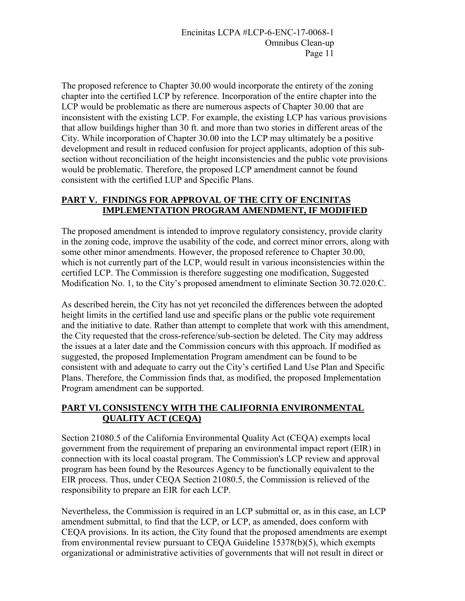The proposed reference to Chapter 30.00 would incorporate the entirety of the zoning chapter into the certified LCP by reference. Incorporation of the entire chapter into the LCP would be problematic as there are numerous aspects of Chapter 30.00 that are inconsistent with the existing LCP. For example, the existing LCP has various provisions that allow buildings higher than 30 ft. and more than two stories in different areas of the City. While incorporation of Chapter 30.00 into the LCP may ultimately be a positive development and result in reduced confusion for project applicants, adoption of this subsection without reconciliation of the height inconsistencies and the public vote provisions would be problematic. Therefore, the proposed LCP amendment cannot be found consistent with the certified LUP and Specific Plans.

# **PART V. FINDINGS FOR APPROVAL OF THE CITY OF ENCINITAS IMPLEMENTATION PROGRAM AMENDMENT, IF MODIFIED**

The proposed amendment is intended to improve regulatory consistency, provide clarity in the zoning code, improve the usability of the code, and correct minor errors, along with some other minor amendments. However, the proposed reference to Chapter 30.00, which is not currently part of the LCP, would result in various inconsistencies within the certified LCP. The Commission is therefore suggesting one modification, Suggested Modification No. 1, to the City's proposed amendment to eliminate Section 30.72.020.C.

As described herein, the City has not yet reconciled the differences between the adopted height limits in the certified land use and specific plans or the public vote requirement and the initiative to date. Rather than attempt to complete that work with this amendment, the City requested that the cross-reference/sub-section be deleted. The City may address the issues at a later date and the Commission concurs with this approach. If modified as suggested, the proposed Implementation Program amendment can be found to be consistent with and adequate to carry out the City's certified Land Use Plan and Specific Plans. Therefore, the Commission finds that, as modified, the proposed Implementation Program amendment can be supported.

# **PART VI. CONSISTENCY WITH THE CALIFORNIA ENVIRONMENTAL QUALITY ACT (CEQA)**

Section 21080.5 of the California Environmental Quality Act (CEQA) exempts local government from the requirement of preparing an environmental impact report (EIR) in connection with its local coastal program. The Commission's LCP review and approval program has been found by the Resources Agency to be functionally equivalent to the EIR process. Thus, under CEQA Section 21080.5, the Commission is relieved of the responsibility to prepare an EIR for each LCP.

Nevertheless, the Commission is required in an LCP submittal or, as in this case, an LCP amendment submittal, to find that the LCP, or LCP, as amended, does conform with CEQA provisions. In its action, the City found that the proposed amendments are exempt from environmental review pursuant to CEQA Guideline 15378(b)(5), which exempts organizational or administrative activities of governments that will not result in direct or